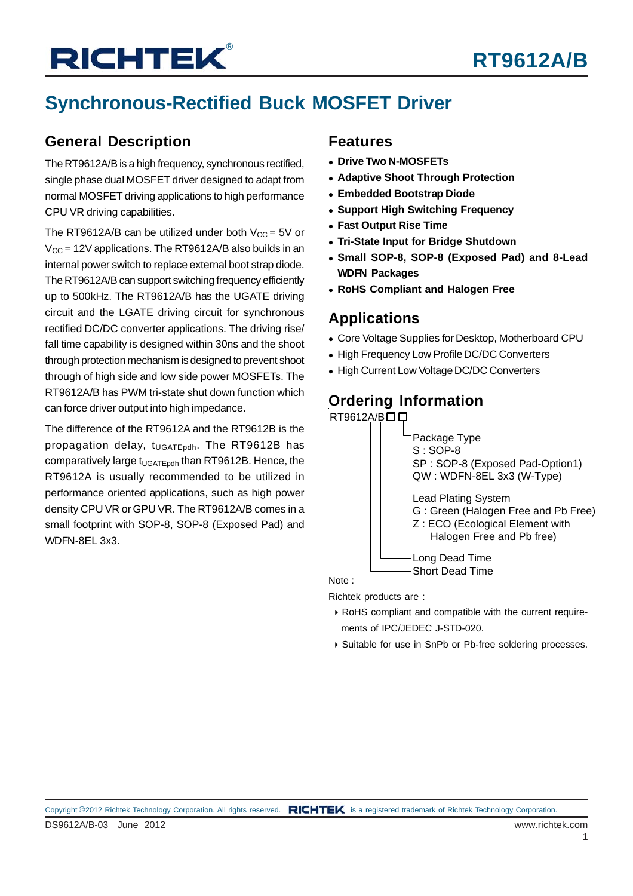# **Synchronous-Rectified Buck MOSFET Driver**

## **General Description**

The RT9612A/B is a high frequency, synchronous rectified, single phase dual MOSFET driver designed to adapt from normal MOSFET driving applications to high performance CPU VR driving capabilities.

The RT9612A/B can be utilized under both  $V_{CC} = 5V$  or  $V_{\text{CC}}$  = 12V applications. The RT9612A/B also builds in an internal power switch to replace external boot strap diode. The RT9612A/B can support switching frequency efficiently up to 500kHz. The RT9612A/B has the UGATE driving circuit and the LGATE driving circuit for synchronous rectified DC/DC converter applications. The driving rise/ fall time capability is designed within 30ns and the shoot through protection mechanism is designed to prevent shoot through of high side and low side power MOSFETs. The RT9612A/B has PWM tri-state shut down function which can force driver output into high impedance.

The difference of the RT9612A and the RT9612B is the propagation delay, t<sub>UGATEpdh</sub>. The RT9612B has comparatively large t<sub>UGATEpdh</sub> than RT9612B. Hence, the RT9612A is usually recommended to be utilized in performance oriented applications, such as high power density CPU VR or GPU VR. The RT9612A/B comes in a small footprint with SOP-8, SOP-8 (Exposed Pad) and WDFN-8EL 3x3.

#### **Features**

- <sup>z</sup> **Drive Two N-MOSFETs**
- **Adaptive Shoot Through Protection**
- <sup>z</sup> **Embedded Bootstrap Diode**
- **Support High Switching Frequency**
- **Fast Output Rise Time**
- **Tri-State Input for Bridge Shutdown**
- <sup>z</sup> **Small SOP-8, SOP-8 (Exposed Pad) and 8-Lead WDFN Packages**
- **RoHS Compliant and Halogen Free**

#### **Applications**

- Core Voltage Supplies for Desktop, Motherboard CPU
- High Frequency Low Profile DC/DC Converters
- High Current Low Voltage DC/DC Converters

## **Ordering Information**



Richtek products are :

- ` RoHS compliant and compatible with the current require ments of IPC/JEDEC J-STD-020.
- ` Suitable for use in SnPb or Pb-free soldering processes.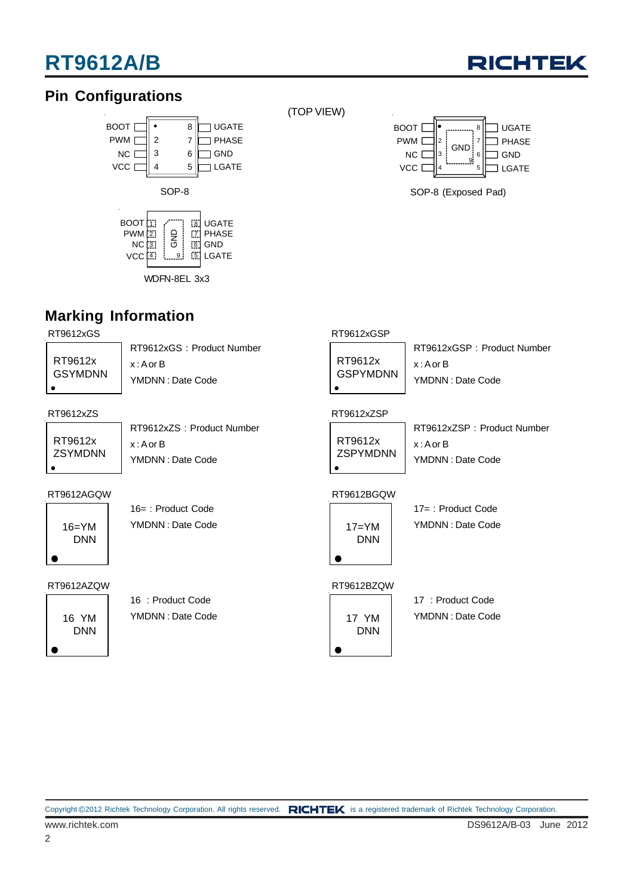# **RT9612A/B**



## **Pin Configurations**



(TOP VIEW)



SOP-8 (Exposed Pad)

## **Marking Information**

RT9612xGS

| RT9612x<br>GSYMDNN |
|--------------------|
| а                  |

RT9612xGS : Product Number x : A or B YMDNN : Date Code

#### RT9612xZS RT9612xZSP

RT9612x **ZSYMDNN**  $\bullet$ 

RT9612xZS : Product Number x : A or B YMDNN : Date Code

#### RT9612AGQW RT9612BGQW

 $16=YM$ DNN

16= : Product Code YMDNN : Date Code

#### RT9612AZQW



16 : Product Code YMDNN : Date Code

#### RT9612xGSP

RT9612x GSPYMDNN

RT9612xGSP : Product Number x : A or B YMDNN : Date Code

RT9612x ZSPYMDNN  $\bullet$ 

RT9612xZSP : Product Number x : A or B YMDNN : Date Code



17= : Product Code YMDNN : Date Code

#### RT9612BZQW

17 YM DNN

17 : Product Code YMDNN : Date Code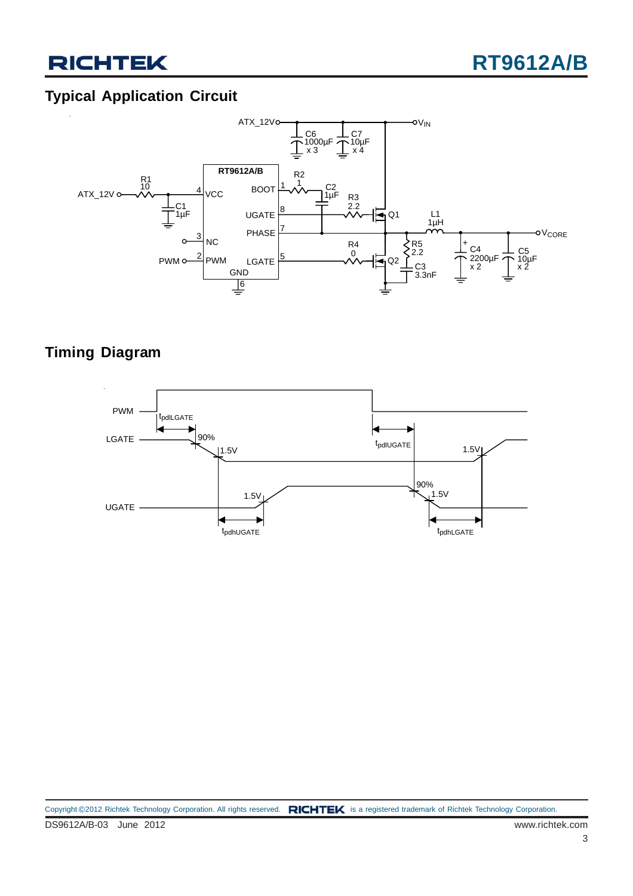## **Typical Application Circuit**



## **Timing Diagram**

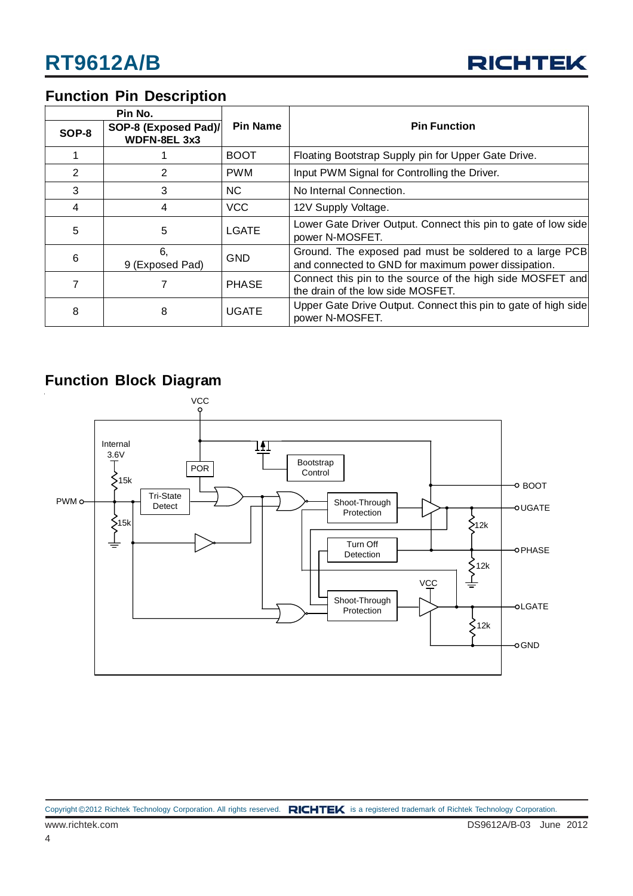

## **Function Pin Description**

| Pin No. |                                      |                 |                                                                                                                |  |
|---------|--------------------------------------|-----------------|----------------------------------------------------------------------------------------------------------------|--|
| SOP-8   | SOP-8 (Exposed Pad)/<br>WDFN-8EL 3x3 | <b>Pin Name</b> | <b>Pin Function</b>                                                                                            |  |
|         |                                      | <b>BOOT</b>     | Floating Bootstrap Supply pin for Upper Gate Drive.                                                            |  |
| 2       | 2                                    | <b>PWM</b>      | Input PWM Signal for Controlling the Driver.                                                                   |  |
| 3       | 3                                    | NC.             | No Internal Connection.                                                                                        |  |
| 4       | 4                                    | <b>VCC</b>      | 12V Supply Voltage.                                                                                            |  |
| 5       | 5                                    | <b>LGATE</b>    | Lower Gate Driver Output. Connect this pin to gate of low side<br>power N-MOSFET.                              |  |
| 6       | 6.<br>9 (Exposed Pad)                | <b>GND</b>      | Ground. The exposed pad must be soldered to a large PCB<br>and connected to GND for maximum power dissipation. |  |
| 7       |                                      | <b>PHASE</b>    | Connect this pin to the source of the high side MOSFET and<br>the drain of the low side MOSFET.                |  |
| 8       | 8                                    | <b>UGATE</b>    | Upper Gate Drive Output. Connect this pin to gate of high side<br>power N-MOSFET.                              |  |

### **Function Block Diagram**

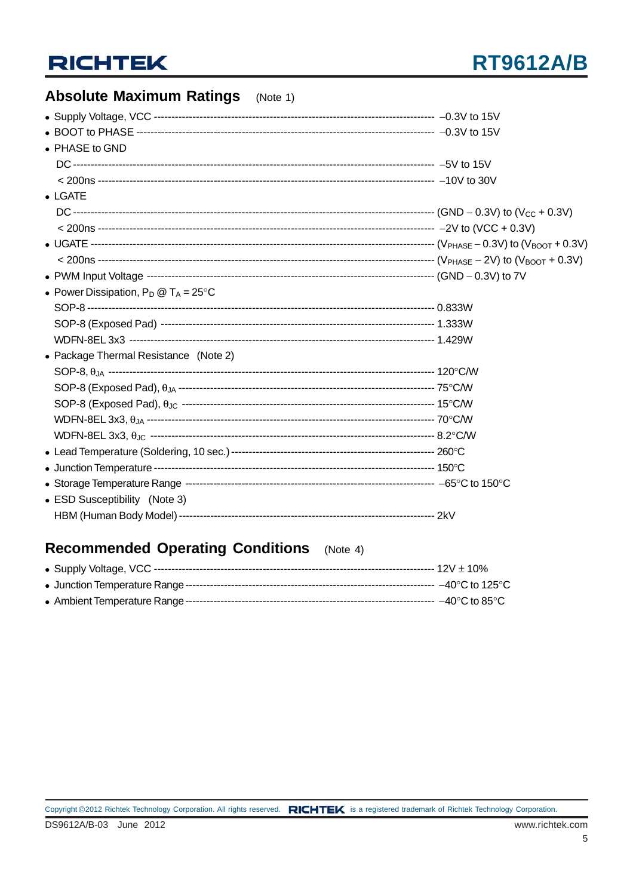## **Absolute Maximum Ratings** (Note 1)

| • PHASE to GND                                 |  |
|------------------------------------------------|--|
|                                                |  |
|                                                |  |
| $\bullet$ LGATE                                |  |
|                                                |  |
|                                                |  |
|                                                |  |
|                                                |  |
|                                                |  |
| • Power Dissipation, $P_D @ T_A = 25^{\circ}C$ |  |
|                                                |  |
|                                                |  |
|                                                |  |
| • Package Thermal Resistance (Note 2)          |  |
|                                                |  |
|                                                |  |
|                                                |  |
|                                                |  |
|                                                |  |
|                                                |  |
|                                                |  |
|                                                |  |
| • ESD Susceptibility (Note 3)                  |  |
|                                                |  |
|                                                |  |

## Recommended Operating Conditions (Note 4)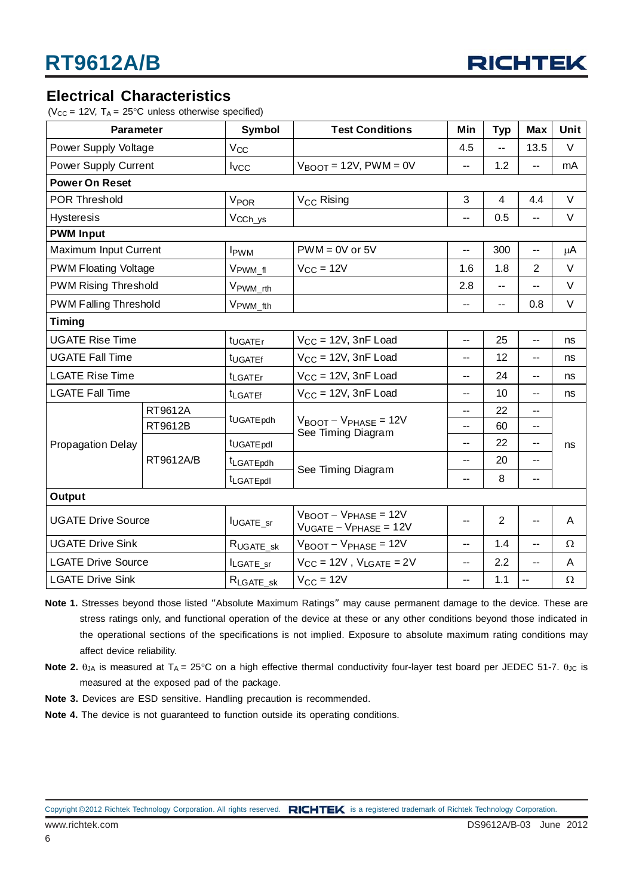

#### **Electrical Characteristics**

( $V_{CC}$  = 12V,  $T_A$  = 25°C unless otherwise specified)

| <b>Parameter</b>             |           | <b>Symbol</b>                  | <b>Test Conditions</b>                                                      | Min                      | <b>Typ</b>     | <b>Max</b>               | Unit     |
|------------------------------|-----------|--------------------------------|-----------------------------------------------------------------------------|--------------------------|----------------|--------------------------|----------|
| Power Supply Voltage         |           | $V_{CC}$                       |                                                                             | 4.5                      | --             | 13.5                     | V        |
| <b>Power Supply Current</b>  |           | $I_{\text{VCC}}$               | $V_{\text{BNOT}}$ = 12V, PWM = 0V                                           | --                       | 1.2            | --                       | mA       |
| <b>Power On Reset</b>        |           |                                |                                                                             |                          |                |                          |          |
| <b>POR Threshold</b>         |           | <b>V<sub>POR</sub></b>         | V <sub>CC</sub> Rising                                                      | 3                        | $\overline{4}$ | 4.4                      | $\vee$   |
| <b>Hysteresis</b>            |           | V <sub>CCh_ys</sub>            |                                                                             | --                       | 0.5            | --                       | V        |
| <b>PWM Input</b>             |           |                                |                                                                             |                          |                |                          |          |
| Maximum Input Current        |           | <b>I</b> <sub>PWM</sub>        | $PWM = 0V$ or $5V$                                                          | н.                       | 300            | $\overline{a}$           | μA       |
| <b>PWM Floating Voltage</b>  |           | V <sub>PWM_fl</sub>            | $V_{CC} = 12V$                                                              | 1.6                      | 1.8            | 2                        | V        |
| <b>PWM Rising Threshold</b>  |           | V <sub>PWM_rth</sub>           |                                                                             | 2.8                      | --             | $\overline{\phantom{a}}$ | V        |
| <b>PWM Falling Threshold</b> |           | V <sub>PWM_fth</sub>           |                                                                             | $\overline{\phantom{a}}$ | --             | 0.8                      | V        |
| <b>Timing</b>                |           |                                |                                                                             |                          |                |                          |          |
| <b>UGATE Rise Time</b>       |           | t <sub>UGATEr</sub>            | $V_{CC} = 12V$ , 3nF Load                                                   | --                       | 25             | $-$                      | ns       |
| <b>UGATE Fall Time</b>       |           | t <sub>UGATEf</sub>            | $V_{CC} = 12V$ , 3nF Load                                                   |                          | 12             | --                       | ns       |
| <b>LGATE Rise Time</b>       |           | <sup>t</sup> LGATEr            | $V_{CC}$ = 12V, 3nF Load                                                    |                          | 24             | --                       | ns       |
| <b>LGATE Fall Time</b>       |           | <b>t</b> LGATEf                | $V_{CC} = 12V$ , 3nF Load                                                   | $\overline{a}$           | 10             | $\overline{a}$           | ns       |
|                              | RT9612A   |                                |                                                                             | --                       | 22             | $-$                      | ns       |
|                              | RT9612B   | t <sub>UGATEpdh</sub>          | $V_{\text{BOOT}} - V_{\text{PHASE}} = 12V$<br>See Timing Diagram            | --                       | 60             | --                       |          |
| <b>Propagation Delay</b>     | RT9612A/B | t <sub>UGATE pdl</sub>         |                                                                             | $\overline{a}$           | 22             | --                       |          |
|                              |           | tLGATEpdh                      | See Timing Diagram                                                          | --                       | 20             | $\overline{\phantom{a}}$ |          |
|                              |           | t <sub>LGATEpdl</sub>          |                                                                             | $\overline{\phantom{a}}$ | 8              | $-$                      |          |
| Output                       |           |                                |                                                                             |                          |                |                          |          |
| <b>UGATE Drive Source</b>    |           | $I_{\text{UGATE} \_\text{sr}}$ | $V_{\text{BOOT}} - V_{\text{PHASE}} = 12V$<br>$V_{UGATE} - V_{PHASE} = 12V$ | $-$                      | $\overline{2}$ | $-$                      | A        |
| <b>UGATE Drive Sink</b>      |           | $R_{UGATE\_sk}$                | $V_{\text{BOOT}} - V_{\text{PHASE}} = 12V$                                  | $-$                      | 1.4            | Ξ.                       | $\Omega$ |
| <b>LGATE Drive Source</b>    |           | ILGATE_sr                      | $V_{CC} = 12V$ , $V_{LGATE} = 2V$                                           | --                       | 2.2            | --                       | A        |
| <b>LGATE Drive Sink</b>      |           | $R_{\text{LGATE\_sk}}$         | $V_{CC} = 12V$                                                              | --                       | 1.1            | $\overline{a}$           | $\Omega$ |

- **Note 1.** Stresses beyond those listed "Absolute Maximum Ratings" may cause permanent damage to the device. These are stress ratings only, and functional operation of the device at these or any other conditions beyond those indicated in the operational sections of the specifications is not implied. Exposure to absolute maximum rating conditions may affect device reliability.
- **Note 2.**  $θ_{JA}$  is measured at T<sub>A</sub> = 25°C on a high effective thermal conductivity four-layer test board per JEDEC 51-7.  $θ_{JC}$  is measured at the exposed pad of the package.
- **Note 3.** Devices are ESD sensitive. Handling precaution is recommended.
- **Note 4.** The device is not guaranteed to function outside its operating conditions.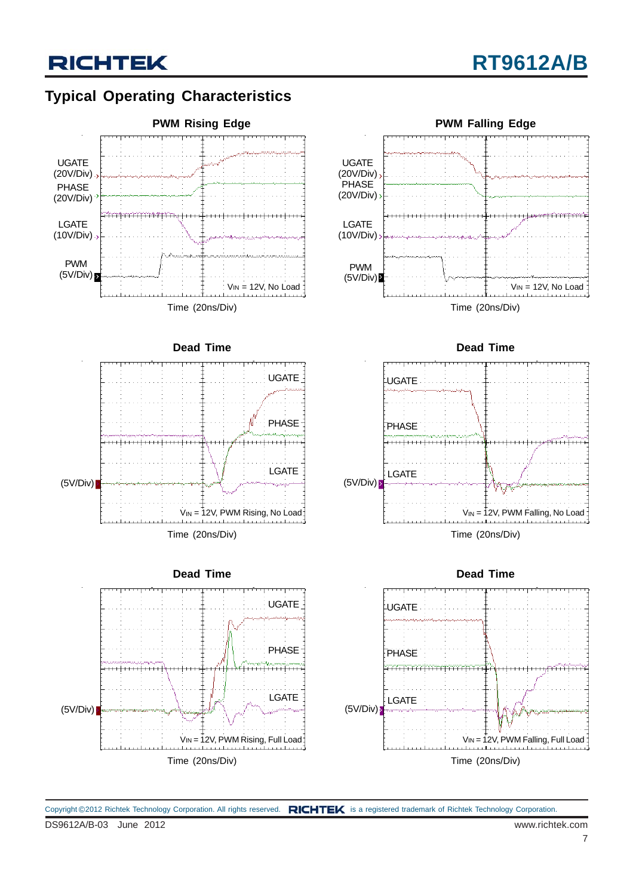## **Typical Operating Characteristics**



DS9612A/B-03 June 2012 www.richtek.com Copyright ©2012 Richtek Technology Corporation. All rights reserved. RICHTEK is a registered trademark of Richtek Technology Corporation.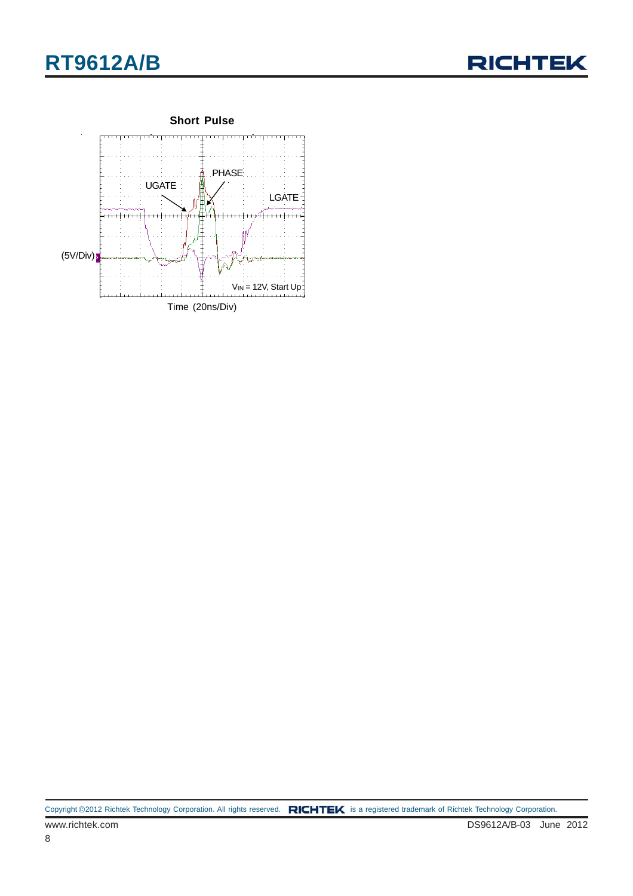





Copyright ©2012 Richtek Technology Corporation. All rights reserved. RICHTEK is a registered trademark of Richtek Technology Corporation.

8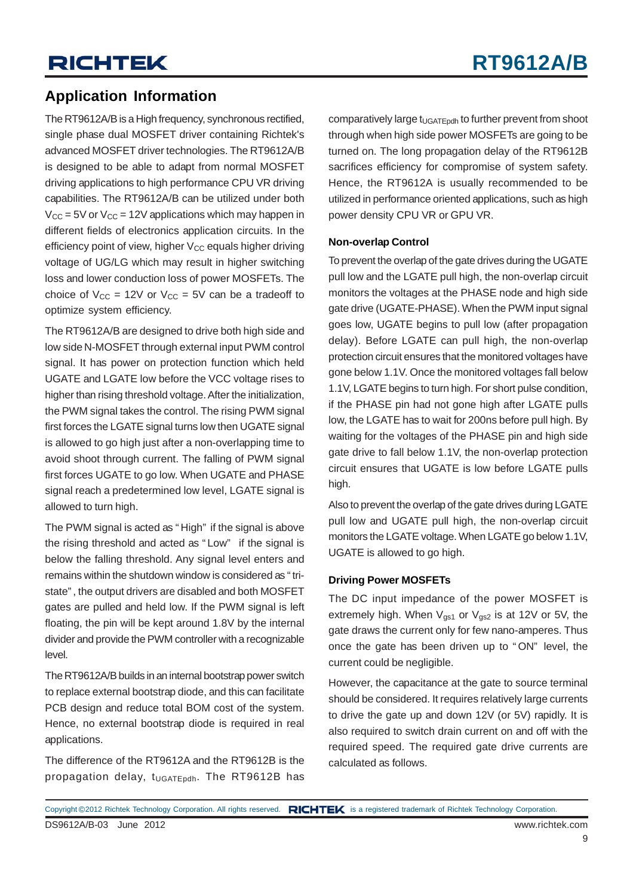## **Application Information**

The RT9612A/B is a High frequency, synchronous rectified, single phase dual MOSFET driver containing Richtek's advanced MOSFET driver technologies. The RT9612A/B is designed to be able to adapt from normal MOSFET driving applications to high performance CPU VR driving capabilities. The RT9612A/B can be utilized under both  $V_{CC}$  = 5V or  $V_{CC}$  = 12V applications which may happen in different fields of electronics application circuits. In the efficiency point of view, higher  $V_{CC}$  equals higher driving voltage of UG/LG which may result in higher switching loss and lower conduction loss of power MOSFETs. The choice of  $V_{CC}$  = 12V or  $V_{CC}$  = 5V can be a tradeoff to optimize system efficiency.

The RT9612A/B are designed to drive both high side and low side N-MOSFET through external input PWM control signal. It has power on protection function which held UGATE and LGATE low before the VCC voltage rises to higher than rising threshold voltage. After the initialization, the PWM signal takes the control. The rising PWM signal first forces the LGATE signal turns low then UGATE signal is allowed to go high just after a non-overlapping time to avoid shoot through current. The falling of PWM signal first forces UGATE to go low. When UGATE and PHASE signal reach a predetermined low level, LGATE signal is allowed to turn high.

The PWM signal is acted as " High" if the signal is above the rising threshold and acted as " Low" if the signal is below the falling threshold. Any signal level enters and remains within the shutdown window is considered as " tristate" , the output drivers are disabled and both MOSFET gates are pulled and held low. If the PWM signal is left floating, the pin will be kept around 1.8V by the internal divider and provide the PWM controller with a recognizable level.

The RT9612A/B builds in an internal bootstrap power switch to replace external bootstrap diode, and this can facilitate PCB design and reduce total BOM cost of the system. Hence, no external bootstrap diode is required in real applications.

The difference of the RT9612A and the RT9612B is the propagation delay, t<sub>UGATEpdh</sub>. The RT9612B has

comparatively large  $t_{\text{UGATEpdh}}$  to further prevent from shoot through when high side power MOSFETs are going to be turned on. The long propagation delay of the RT9612B sacrifices efficiency for compromise of system safety. Hence, the RT9612A is usually recommended to be utilized in performance oriented applications, such as high power density CPU VR or GPU VR.

#### **Non-overlap Control**

To prevent the overlap of the gate drives during the UGATE pull low and the LGATE pull high, the non-overlap circuit monitors the voltages at the PHASE node and high side gate drive (UGATE-PHASE). When the PWM input signal goes low, UGATE begins to pull low (after propagation delay). Before LGATE can pull high, the non-overlap protection circuit ensures that the monitored voltages have gone below 1.1V. Once the monitored voltages fall below 1.1V, LGATE begins to turn high. For short pulse condition, if the PHASE pin had not gone high after LGATE pulls low, the LGATE has to wait for 200ns before pull high. By waiting for the voltages of the PHASE pin and high side gate drive to fall below 1.1V, the non-overlap protection circuit ensures that UGATE is low before LGATE pulls high.

Also to prevent the overlap of the gate drives during LGATE pull low and UGATE pull high, the non-overlap circuit monitors the LGATE voltage. When LGATE go below 1.1V, UGATE is allowed to go high.

#### **Driving Power MOSFETs**

The DC input impedance of the power MOSFET is extremely high. When  $V_{gs1}$  or  $V_{gs2}$  is at 12V or 5V, the gate draws the current only for few nano-amperes. Thus once the gate has been driven up to " ON" level, the current could be negligible.

However, the capacitance at the gate to source terminal should be considered. It requires relatively large currents to drive the gate up and down 12V (or 5V) rapidly. It is also required to switch drain current on and off with the required speed. The required gate drive currents are calculated as follows.

Copyright ©2012 Richtek Technology Corporation. All rights reserved. RICHTEK is a registered trademark of Richtek Technology Corporation.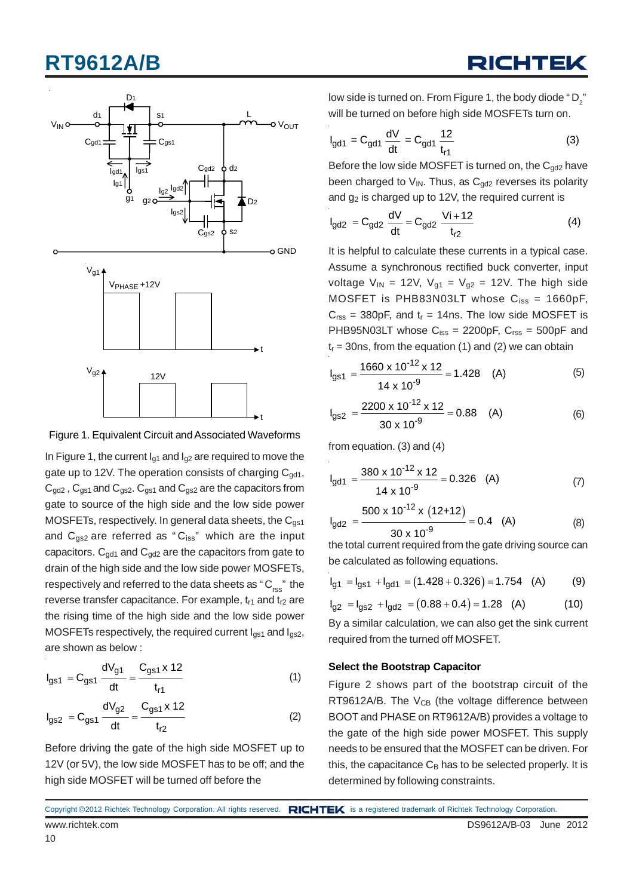# **RT9612A/B**



Figure 1. Equivalent Circuit and Associated Waveforms

In Figure 1, the current  $I_{q1}$  and  $I_{q2}$  are required to move the gate up to 12V. The operation consists of charging  $C_{\text{gdd}}$ ,  $C_{\text{qd2}}$ ,  $C_{\text{qs1}}$  and  $C_{\text{qs2}}$ .  $C_{\text{qs1}}$  and  $C_{\text{qs2}}$  are the capacitors from gate to source of the high side and the low side power MOSFETs, respectively. In general data sheets, the  $C_{qs1}$ and  $C_{gs2}$  are referred as " $C_{iss}$ " which are the input capacitors.  $C_{gd1}$  and  $C_{gd2}$  are the capacitors from gate to drain of the high side and the low side power MOSFETs, respectively and referred to the data sheets as " $C_{res}$ " the reverse transfer capacitance. For example,  $t_{r1}$  and  $t_{r2}$  are the rising time of the high side and the low side power MOSFETs respectively, the required current  $I_{gs1}$  and  $I_{gs2}$ , are shown as below :

$$
I_{gs1} = C_{gs1} \frac{dV_{g1}}{dt} = \frac{C_{gs1} \times 12}{t_{r1}}
$$
 (1)

$$
I_{gs2} = C_{gs1} \frac{dV_{g2}}{dt} = \frac{C_{gs1} \times 12}{t_{r2}}
$$
 (2)

Before driving the gate of the high side MOSFET up to 12V (or 5V), the low side MOSFET has to be off; and the high side MOSFET will be turned off before the

low side is turned on. From Figure 1, the body diode " D2 " will be turned on before high side MOSFETs turn on.

RICHTE

$$
I_{gd1} = C_{gd1} \frac{dV}{dt} = C_{gd1} \frac{12}{t_{r1}}
$$
 (3)

Before the low side MOSFET is turned on, the  $C_{\alpha d2}$  have been charged to  $V_{\text{IN}}$ . Thus, as  $C_{\text{odd}}$  reverses its polarity and  $g_2$  is charged up to 12V, the required current is

$$
I_{gd2} = C_{gd2} \frac{dV}{dt} = C_{gd2} \frac{Vi + 12}{t_{r2}}
$$
 (4)

It is helpful to calculate these currents in a typical case. Assume a synchronous rectified buck converter, input voltage  $V_{IN}$  = 12V,  $V_{g1}$  =  $V_{g2}$  = 12V. The high side MOSFET is PHB83N03LT whose  $C_{iss} = 1660pF$ ,  $C_{\text{rss}}$  = 380pF, and  $t_r$  = 14ns. The low side MOSFET is PHB95N03LT whose  $C_{iss} = 2200pF$ ,  $C_{rss} = 500pF$  and  $t_r = 30$ ns, from the equation (1) and (2) we can obtain

$$
I_{gs1} = \frac{1660 \times 10^{-12} \times 12}{14 \times 10^{-9}} = 1.428
$$
 (A) (5)

$$
I_{gs2} = \frac{2200 \times 10^{-12} \times 12}{30 \times 10^{-9}} = 0.88
$$
 (A) (6)

from equation. (3) and (4)

$$
I_{\text{gd1}} = \frac{380 \times 10^{-12} \times 12}{14 \times 10^{-9}} = 0.326 \quad \text{(A)} \tag{7}
$$

$$
I_{gd2} = \frac{500 \times 10^{-12} \times (12+12)}{30 \times 10^{-9}} = 0.4 \quad (A)
$$
 (8)

the total current required from the gate driving source can be calculated as following equations.

$$
I_{g1} = I_{g51} + I_{gd1} = (1.428 + 0.326) = 1.754
$$
 (A) (9)

$$
I_{g2} = I_{gS2} + I_{gd2} = (0.88 + 0.4) = 1.28
$$
 (A) (10)

By a similar calculation, we can also get the sink current required from the turned off MOSFET.

#### **Select the Bootstrap Capacitor**

Figure 2 shows part of the bootstrap circuit of the RT9612A/B. The  $V_{CB}$  (the voltage difference between BOOT and PHASE on RT9612A/B) provides a voltage to the gate of the high side power MOSFET. This supply needs to be ensured that the MOSFET can be driven. For this, the capacitance  $C_B$  has to be selected properly. It is determined by following constraints.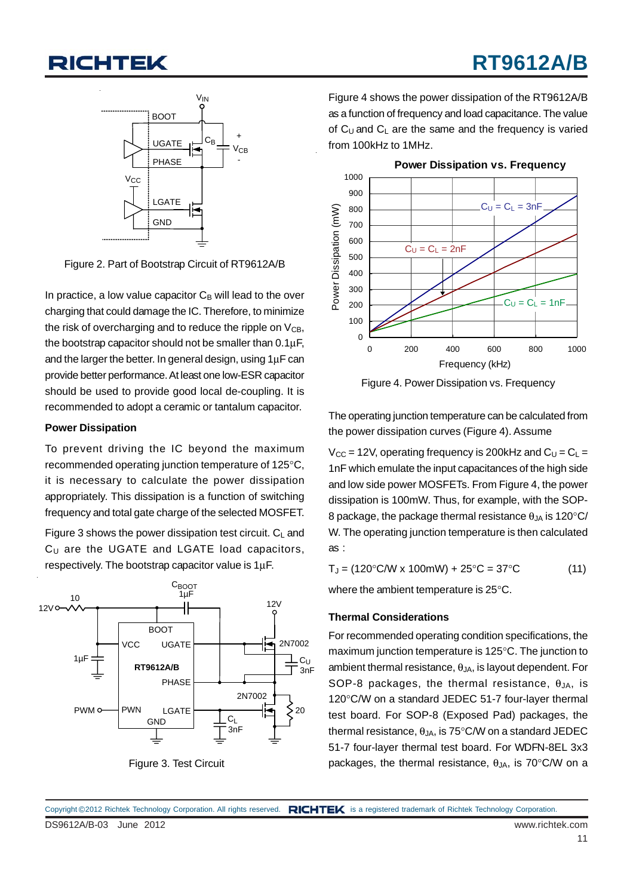

Figure 2. Part of Bootstrap Circuit of RT9612A/B

In practice, a low value capacitor  $C_B$  will lead to the over charging that could damage the IC. Therefore, to minimize the risk of overcharging and to reduce the ripple on  $V_{CB}$ , the bootstrap capacitor should not be smaller than 0.1μF, and the larger the better. In general design, using 1μF can provide better performance. At least one low-ESR capacitor should be used to provide good local de-coupling. It is recommended to adopt a ceramic or tantalum capacitor.

#### **Power Dissipation**

To prevent driving the IC beyond the maximum recommended operating junction temperature of 125°C, it is necessary to calculate the power dissipation appropriately. This dissipation is a function of switching frequency and total gate charge of the selected MOSFET.

Figure 3 shows the power dissipation test circuit.  $C_L$  and  $C_U$  are the UGATE and LGATE load capacitors, respectively. The bootstrap capacitor value is 1μF.



Figure 3. Test Circuit

Figure 4 shows the power dissipation of the RT9612A/B as a function of frequency and load capacitance. The value of  $C_U$  and  $C_L$  are the same and the frequency is varied from 100kHz to 1MHz.



Figure 4. Power Dissipation vs. Frequency

The operating junction temperature can be calculated from the power dissipation curves (Figure 4). Assume

 $V_{CC}$  = 12V, operating frequency is 200kHz and  $C_U = C_L$  = 1nF which emulate the input capacitances of the high side and low side power MOSFETs. From Figure 4, the power dissipation is 100mW. Thus, for example, with the SOP-8 package, the package thermal resistance  $\theta_{JA}$  is 120 $\degree$ C/ W. The operating junction temperature is then calculated as :

 $T_J = (120^{\circ} \text{C/W} \times 100 \text{mW}) + 25^{\circ} \text{C} = 37^{\circ} \text{C}$  (11) where the ambient temperature is 25°C.

#### **Thermal Considerations**

For recommended operating condition specifications, the maximum junction temperature is 125°C. The junction to ambient thermal resistance,  $\theta_{JA}$ , is layout dependent. For SOP-8 packages, the thermal resistance,  $\theta_{JA}$ , is 120°C/W on a standard JEDEC 51-7 four-layer thermal test board. For SOP-8 (Exposed Pad) packages, the thermal resistance,  $\theta_{JA}$ , is 75°C/W on a standard JEDEC 51-7 four-layer thermal test board. For WDFN-8EL 3x3 packages, the thermal resistance,  $θ<sub>JA</sub>$ , is 70°C/W on a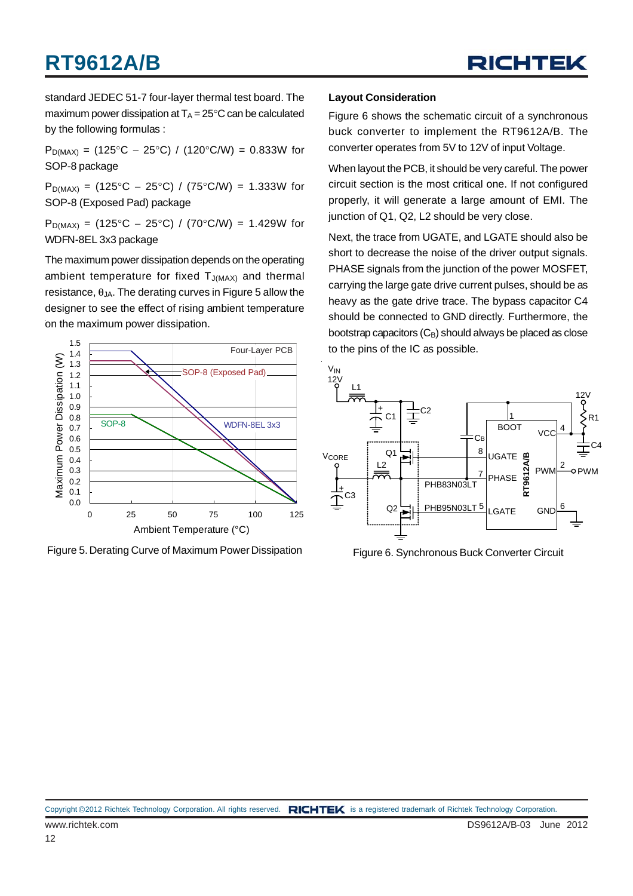# **RT9612A/B**



standard JEDEC 51-7 four-layer thermal test board. The maximum power dissipation at  $T_A = 25^{\circ}$ C can be calculated by the following formulas :

 $P_{D(MAX)} = (125^{\circ}C - 25^{\circ}C) / (120^{\circ}C/W) = 0.833W$  for SOP-8 package

 $P_{D(MAX)} = (125\degree C - 25\degree C) / (75\degree C/W) = 1.333W$  for SOP-8 (Exposed Pad) package

P<sub>D(MAX)</sub> = (125°C − 25°C) / (70°C/W) = 1.429W for WDFN-8EL 3x3 package

The maximum power dissipation depends on the operating ambient temperature for fixed  $T_{J(MAX)}$  and thermal resistance,  $θ_{JA}$ . The derating curves in Figure 5 allow the designer to see the effect of rising ambient temperature on the maximum power dissipation.



Figure 5. Derating Curve of Maximum Power Dissipation

#### **Layout Consideration**

Figure 6 shows the schematic circuit of a synchronous buck converter to implement the RT9612A/B. The converter operates from 5V to 12V of input Voltage.

When layout the PCB, it should be very careful. The power circuit section is the most critical one. If not configured properly, it will generate a large amount of EMI. The junction of Q1, Q2, L2 should be very close.

Next, the trace from UGATE, and LGATE should also be short to decrease the noise of the driver output signals. PHASE signals from the junction of the power MOSFET, carrying the large gate drive current pulses, should be as heavy as the gate drive trace. The bypass capacitor C4 should be connected to GND directly. Furthermore, the bootstrap capacitors  $(C_B)$  should always be placed as close to the pins of the IC as possible.



Figure 6. Synchronous Buck Converter Circuit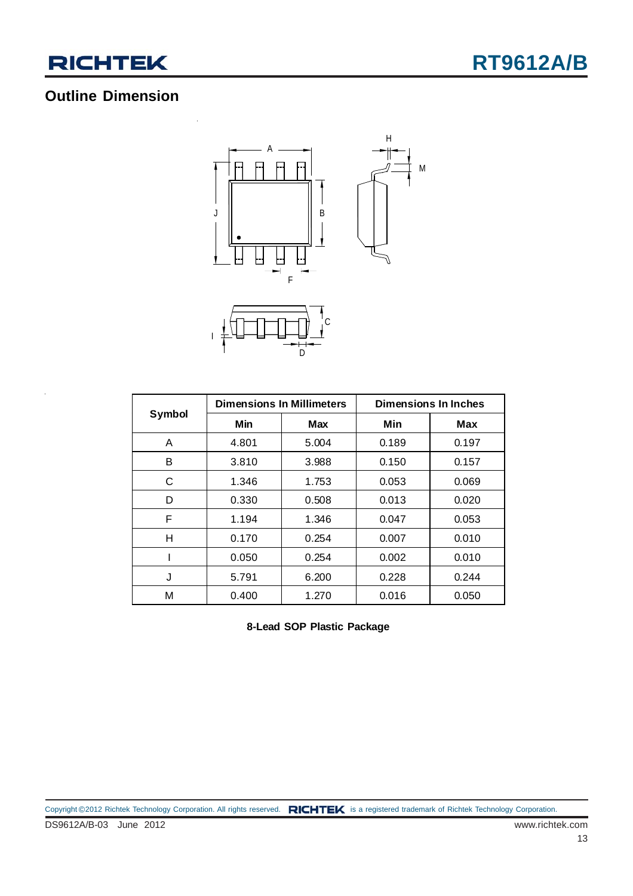

## **Outline Dimension**



|        | <b>Dimensions In Millimeters</b> |       | <b>Dimensions In Inches</b> |            |  |
|--------|----------------------------------|-------|-----------------------------|------------|--|
| Symbol | Min                              | Max   | Min                         | <b>Max</b> |  |
| A      | 4.801                            | 5.004 | 0.189                       | 0.197      |  |
| в      | 3.810                            | 3.988 | 0.150                       | 0.157      |  |
| C      | 1.346                            | 1.753 | 0.053                       | 0.069      |  |
| D      | 0.330                            | 0.508 | 0.013                       | 0.020      |  |
| F      | 1.194                            | 1.346 | 0.047                       | 0.053      |  |
| н      | 0.170                            | 0.254 | 0.007                       | 0.010      |  |
|        | 0.050                            | 0.254 | 0.002                       | 0.010      |  |
| J      | 5.791                            | 6.200 | 0.228                       | 0.244      |  |
| М      | 0.400                            | 1.270 | 0.016                       | 0.050      |  |

**8-Lead SOP Plastic Package**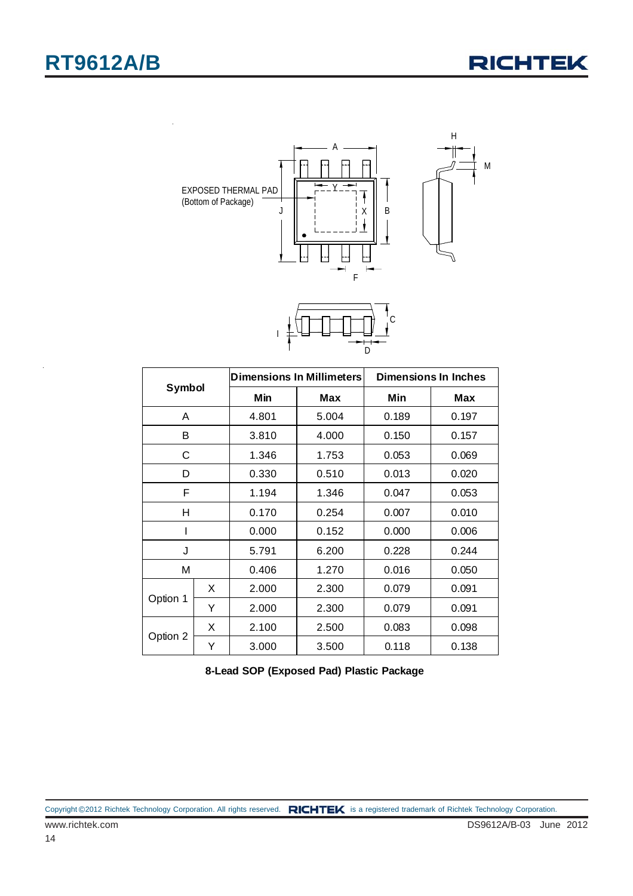

| Symbol   |   |       | <b>Dimensions In Millimeters</b> | <b>Dimensions In Inches</b> |       |  |
|----------|---|-------|----------------------------------|-----------------------------|-------|--|
|          |   | Min   | Max                              | Min                         | Max   |  |
| A        |   | 4.801 | 5.004                            | 0.189                       | 0.197 |  |
| В        |   | 3.810 | 4.000                            | 0.150                       | 0.157 |  |
| C        |   | 1.346 | 1.753                            | 0.053                       | 0.069 |  |
| D        |   | 0.330 | 0.510                            | 0.013                       | 0.020 |  |
| F        |   | 1.194 | 1.346                            | 0.047                       | 0.053 |  |
| н        |   | 0.170 | 0.254                            | 0.007                       | 0.010 |  |
|          |   | 0.000 | 0.152                            | 0.000                       | 0.006 |  |
| J        |   | 5.791 | 6.200                            | 0.228                       | 0.244 |  |
| M        |   | 0.406 | 1.270                            | 0.016                       | 0.050 |  |
| Option 1 | X | 2.000 | 2.300                            | 0.079                       | 0.091 |  |
|          | Y | 2.000 | 2.300                            | 0.079                       | 0.091 |  |
|          | X | 2.100 | 2.500                            | 0.083                       | 0.098 |  |
| Option 2 | Y | 3.000 | 3.500                            | 0.118                       | 0.138 |  |

**8-Lead SOP (Exposed Pad) Plastic Package**